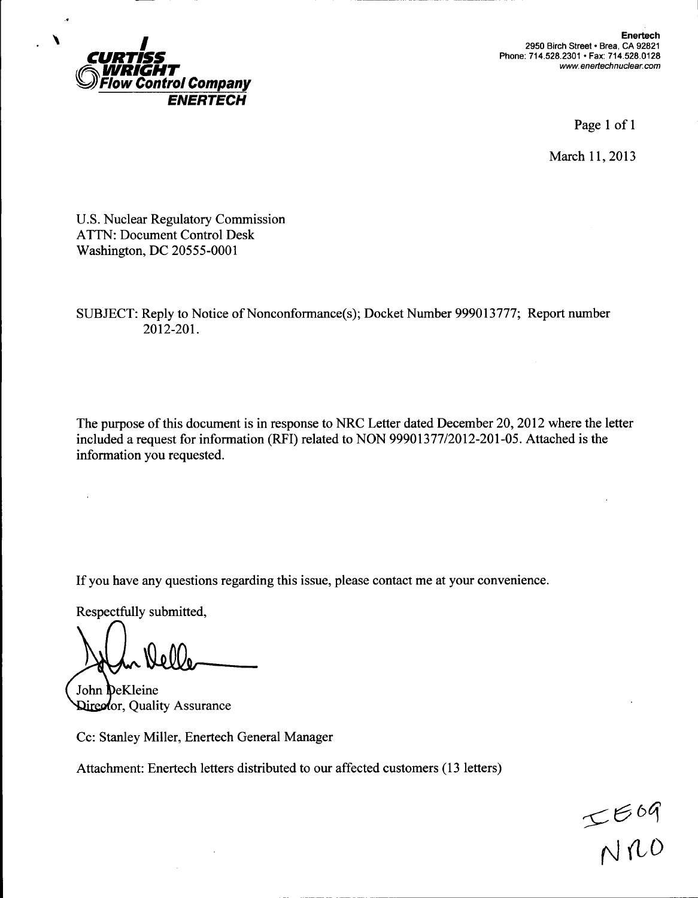

Enertech 2950 Birch Street • Brea, CA 92821 Phone: 714.528.2301 • Fax: 714.528.0128 *www. enertechnuclear.com*

Page 1 of 1

March 11, 2013

U.S. Nuclear Regulatory Commission ATTN: Document Control Desk Washington, DC 20555-0001

SUBJECT: Reply to Notice of Nonconformance(s); Docket Number 999013777; Report number 2012-201.

The purpose of this document is in response to NRC Letter dated December 20, 2012 where the letter included a request for information (RFI) related to NON 99901377/2012-201-05. Attached is the information you requested.

If you have any questions regarding this issue, please contact me at your convenience.

Respectfully submitted,

 $\ddot{\phantom{a}}$ 

John DeKleine **Qireot**or, Quality Assurance

Cc: Stanley Miller, Enertech General Manager

Attachment: Enertech letters distributed to our affected customers (13 letters)

 $~<$ 669  $N10$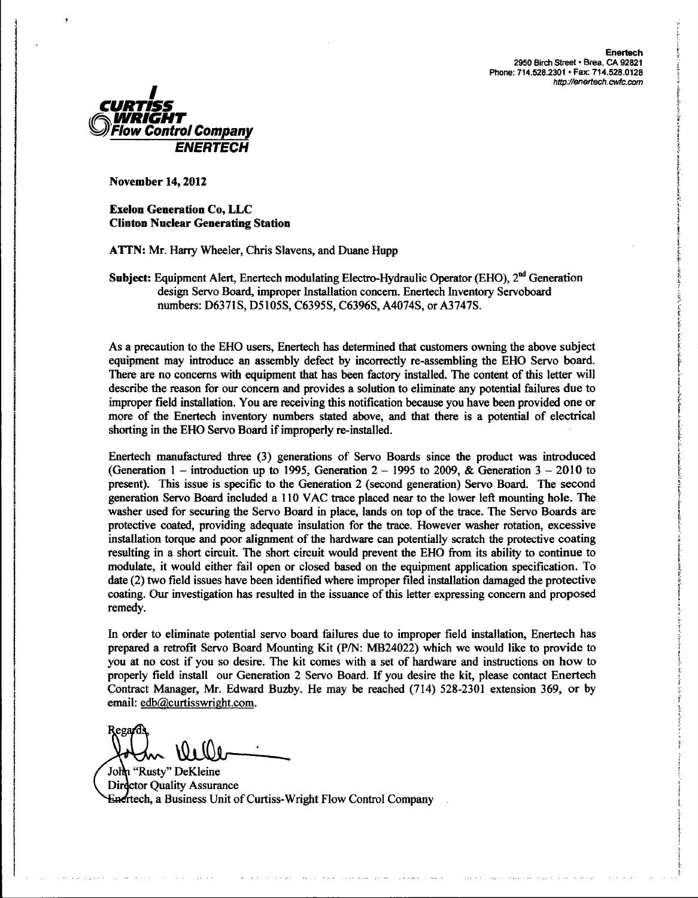

Exelon Generation Co, **LLC** Clinton Nuclear Generating Station

**ATTN:** Mr. Harry Wheeler, Chris Slavens, and Duane Hupp

Subject: Equipment Alert, Enertech modulating Electro-Hydraulic Operator (EHO), 2<sup>nd</sup> Generation design Servo Board, improper Installation concern. Enertech Inventory Servoboard numbers: D6371S, D5105S, C6395S, C6396S, A4074S, or A3747S.

As a precaution to the EHO users, Enertech has determined that customers owning the above subject equipment may introduce an assembly defect by incorrectly re-assembling the EHO Servo board. There are no concerns with equipment that has been factory installed. The content of this letter will describe the reason for our concern and provides a solution to eliminate any potential failures due to improper field installation. You are receiving this notification because you have been provided one or more of the Enertech inventory numbers stated above, and that there is a potential of electrical shorting in the EHO Servo Board if improperly re-installed.

Enertech manufactured three (3) generations of Servo Boards since the product was introduced (Generation 1 – introduction up to 1995, Generation  $2 - 1995$  to 2009, & Generation  $3 - 2010$  to present). This issue is specific to the Generation 2 (second generation) Servo Board. The second generation Servo Board included a 110 VAC trace placed near to the lower left mounting hole. The washer used for securing the Servo Board in place, lands on top of the trace. The Servo Boards are protective coated, providing adequate insulation for the trace. However washer rotation, excessive installation torque and poor alignment of the hardware can potentially scratch the protective coating resulting in a short circuit. The short circuit would prevent the EHO from its ability to continue to modulate, it would either fail open or closed based on the equipment application specification. To date (2) two field issues have been identified where improper filed installation damaged the protective coating. Our investigation has resulted in the issuance of this letter expressing concern and proposed remedy.

In order to eliminate potential servo board failures due to improper field installation, Enertech has prepared a retrofit Servo Board Mounting Kit (P/N: MB24022) which we would like to provide to you at no cost if you so desire. The kit comes with a set of hardware and instructions on how to properly field install our Generation 2 Servo Board. If you desire the kit, please contact Enertech Contract Manager, Mr. Edward Buzby. He may be reached (714) 528-2301 extension 369, or by email: edb@curtisswright.com.

Rega<sub>r</sub>d

John "Rusty" DeKleine Director Quality Assurance Enertech, a Business Unit of Curtiss-Wright Flow Control Company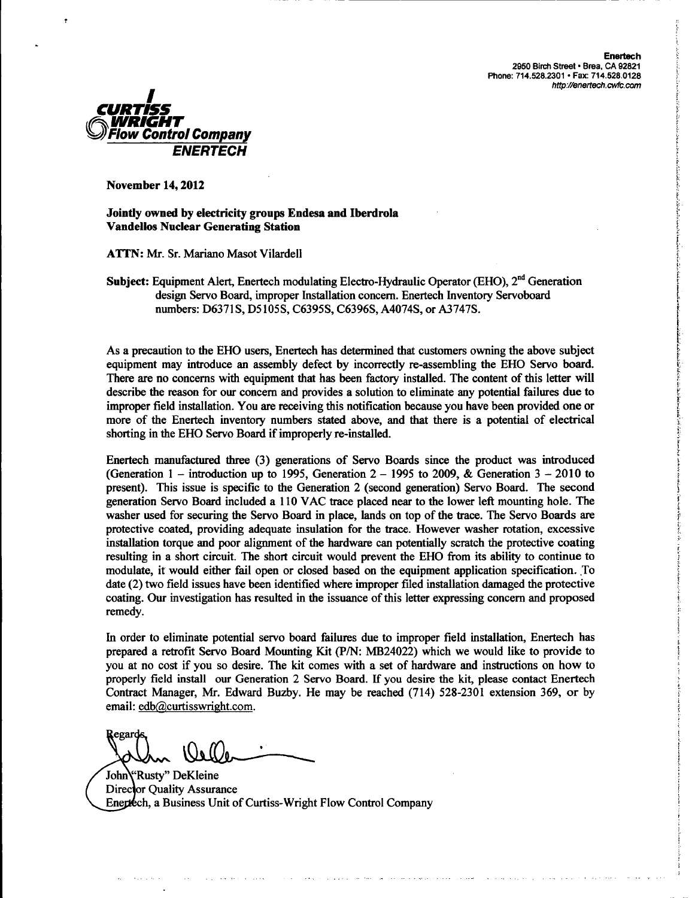

Jointly owned by electricity groups Endesa and Iberdrola Vandellos Nuclear Generating Station

ATTN: Mr. Sr. Mariano Masot Vilardell

Subject: Equipment Alert, Enertech modulating Electro-Hydraulic Operator (EHO), 2<sup>nd</sup> Generation design Servo Board, improper Installation concern. Enertech Inventory Servoboard numbers: D6371S, D5105S, C6395S, C6396S, A4074S, or A3747S.

As a precaution to the EHO users, Enertech has determined that customers owning the above subject equipment may introduce an assembly defect by incorrectly re-assembling the EHO Servo board. There are no concerns with equipment that has been factory installed. The content of this letter will describe the reason for our concern and provides a solution to eliminate any potential failures due to improper field installation. You are receiving this notification because you have been provided one or more of the Enertech inventory numbers stated above, and that there is a potential of electrical shorting in the EHO Servo Board if improperly re-installed.

Enertech manufactured three (3) generations of Servo Boards since the product was introduced (Generation 1 – introduction up to 1995, Generation  $2 - 1995$  to 2009, & Generation  $3 - 2010$  to present). This issue is specific to the Generation 2 (second generation) Servo Board. The second generation Servo Board included a 110 VAC trace placed near to the lower left mounting hole. The washer used for securing the Servo Board in place, lands on top of the trace. The Servo Boards are protective coated, providing adequate insulation for the trace. However washer rotation, excessive installation torque and poor alignment of the hardware can potentially scratch the protective coating resulting in a short circuit. The short circuit would prevent the EHO from its ability to continue to modulate, it would either fail open or closed based on the equipment application specification. To date (2) two field issues have been identified where improper filed installation damaged the protective coating. Our investigation has resulted in the issuance of this letter expressing concern and proposed remedy.

In order to eliminate potential servo board failures due to improper field installation, Enertech has prepared a retrofit Servo Board Mounting Kit (P/N: MB24022) which we would like to provide to you at no cost if you so desire. The kit comes with a set of hardware and instructions on how to properly field install our Generation 2 Servo Board. **If** you desire the kit, please contact Enertech Contract Manager, Mr. Edward Buzby. He may be reached (714) 528-2301 extension 369, or by email: edb@curtisswright.com.

ولايون والتواصل

Regard

John' Rusty" DeKleine Director Quality Assurance Enertech, a Business Unit of Curtiss-Wright Flow Control Company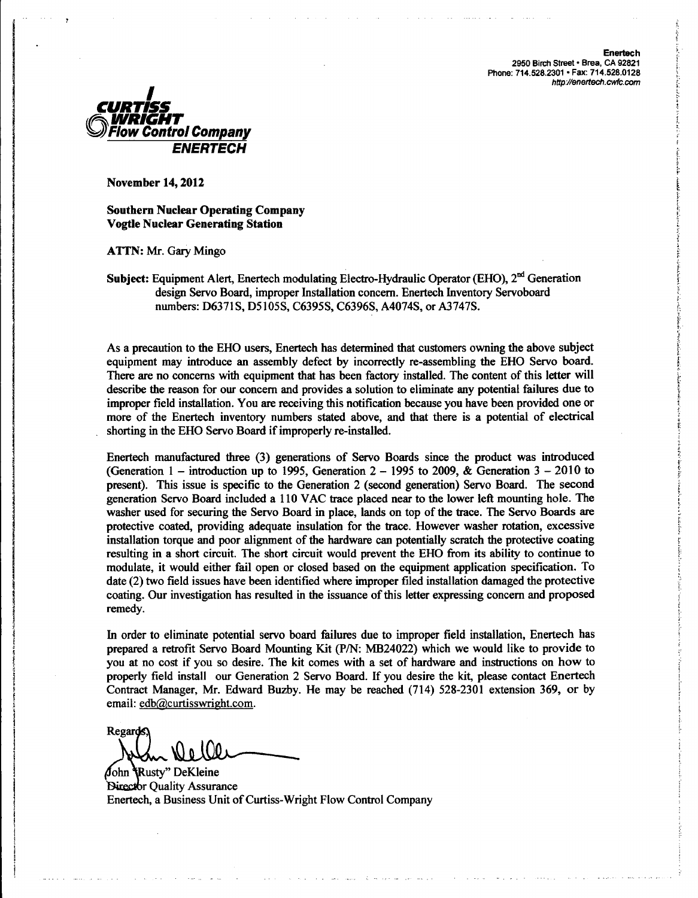**Enertech 2950** Birch Street **-** Brea, **CA 92821** Phone: **714.528.2301 -** Fax: **714.528.0128** *http./l/enertech.cwfc.com*



November 14, 2012

Southern Nuclear Operating Company Vogtle Nuclear Generating Station

**ATTN:** Mr. Gary Mingo

Subject: Equipment Alert, Enertech modulating Electro-Hydraulic Operator (EHO),  $2<sup>nd</sup>$  Generation design Servo Board, improper Installation concern. Enertech Inventory Servoboard numbers: D6371S, D5105S, C6395S, C6396S, A4074S, or A3747S.

As a precaution to the EHO users, Enertech has determined that customers owning the above subject equipment may introduce an assembly defect by incorrectly re-assembling the EHO Servo board. There are no concerns with equipment that has been factory installed. The content of this letter will describe the reason for our concern and provides a solution to eliminate any potential failures due to improper field installation. You are receiving this notification because you have been provided one or more of the Enertech inventory numbers stated above, and that there is a potential of electrical shorting in the EHO Servo Board if improperly re-installed.

Enertech manufactured three (3) generations of Servo Boards since the product was introduced (Generation 1 – introduction up to 1995, Generation  $2 - 1995$  to 2009, & Generation  $3 - 2010$  to present). This issue is specific to the Generation 2 (second generation) Servo Board. The second generation Servo Board included a 110 VAC trace placed near to the lower left mounting hole. The washer used for securing the Servo Board in place, lands on top of the trace. The Servo Boards are protective coated, providing adequate insulation for the trace. However washer rotation, excessive installation torque and poor alignment of the hardware can potentially scratch the protective coating resulting in a short circuit. The short circuit would prevent the EHO from its ability to continue to modulate, it would either fail open or closed based on the equipment application specification. To date (2) two field issues have been identified where improper filed installation damaged the protective coating. Our investigation has resulted in the issuance of this letter expressing concern and proposed remedy.

In order to eliminate potential servo board failures due to improper field installation, Enertech has prepared a retrofit Servo Board Mounting Kit (P/N: MB24022) which we would like to provide to you at no cost if you so desire. The kit comes with a set of hardware and instructions on how to properly field install our Generation 2 Servo Board. If you desire the kit, please contact Enertech Contract Manager, Mr. Edward Buzby. He may be reached (714) 528-2301 extension 369, or by email: edb@curtisswright.com.

Regard

John Rusty" DeKleine Director Ouality Assurance Enertech, a Business Unit of Curtiss-Wright Flow Control Company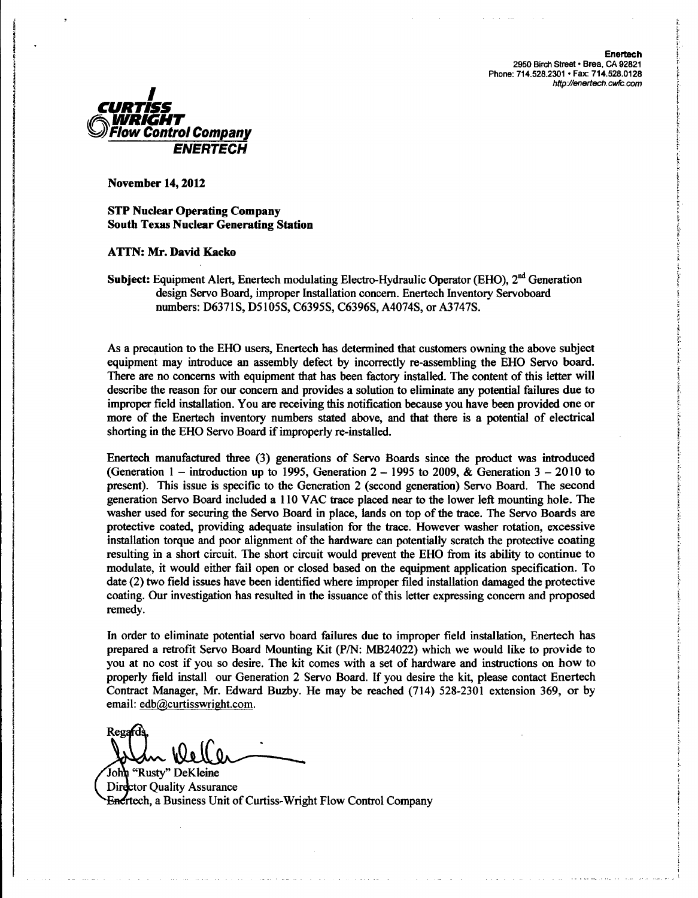Enertech 2950 Birch Street • Brea, CA 92821 Phone: 714.528.2301 • Fax: **714.528.0128** hftp//enertech.cwfc.com



November 14, 2012

**STP** Nuclear Operating Company South Texas Nuclear Generating Station

**ATTN:** Mr. David Kacko

Subject: Equipment Alert, Enertech modulating Electro-Hydraulic Operator (EHO), 2<sup>nd</sup> Generation design Servo Board, improper Installation concern. Enertech Inventory Servoboard numbers: D6371S, D5105S, C6395S, C6396S, A4074S, or A3747S.

As a precaution to the EHO users, Enertech has determined that customers owning the above subject equipment may introduce an assembly defect by incorrectly re-assembling the EHO Servo board. There are no concerns with equipment that has been factory installed. The content of this letter will describe the reason for our concern and provides a solution to eliminate any potential failures due to improper field installation. You are receiving this notification because you have been provided one or more of the Enertech inventory numbers stated above, and that there is a potential of electrical shorting in the EHO Servo Board if improperly re-installed.

Enertech manufactured three (3) generations of Servo Boards since the product was introduced (Generation 1 – introduction up to 1995, Generation  $2 - 1995$  to 2009, & Generation  $3 - 2010$  to present). This issue is specific to the Generation 2 (second generation) Servo Board. The second generation Servo Board included a 110 VAC trace placed near to the lower left mounting hole. The washer used for securing the Servo Board in place, lands on top of the trace. The Servo Boards are protective coated, providing adequate insulation for the trace. However washer rotation, excessive installation torque and poor alignment of the hardware can potentially scratch the protective coating resulting in a short circuit. The short circuit would prevent the EHO from its ability to continue to modulate, it would either fail open or closed based on the equipment application specification. To date (2) two field issues have been identified where improper filed installation damaged the protective coating. Our investigation has resulted in the issuance of this letter expressing concern and proposed remedy.

In order to eliminate potential servo board failures due to improper field installation, Enertech has prepared a retrofit Servo Board Mounting Kit (P/N: MB24022) which we would like to provide to you at no cost if you so desire. The kit comes with a set of hardware and instructions on how to properly field install our Generation 2 Servo Board. If you desire the kit, please contact Enertech Contract Manager, Mr. Edward Buzby. He may be reached (714) 528-2301 extension 369, or by email: edb@curtisswright.com.

Regards <u> مایا</u>

John "Rusty" DeKleine Director Ouality Assurance Enertech. a Business Unit of Curtiss-Wright Flow Control Company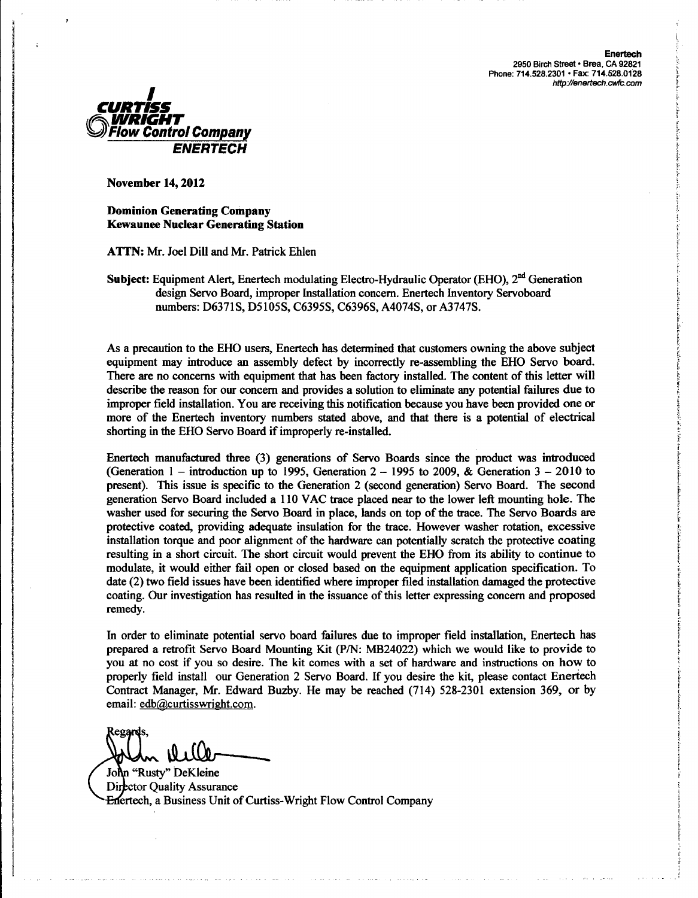Enertech **2950** Birch Street • Brea, **CA 92821** Phone: **714.528.2301** • Fax: **714.528.0128** *http /enertech.cwfc.com*



November 14,2012

Dominion Generating Company Kewaunee Nuclear Generating Station

ATTN: Mr. Joel Dill and Mr. Patrick Ehlen

Subject: Equipment Alert, Enertech modulating Electro-Hydraulic Operator (EHO), 2<sup>nd</sup> Generation design Servo Board, improper Installation concern. Enertech Inventory Servoboard numbers: D6371S, D5105S, C6395S, C6396S, A4074S, or A3747S.

As a precaution to the EHO users, Enertech has determined that customers owning the above subject equipment may introduce an assembly defect by incorrectly re-assembling the EHO Servo board. There are no concerns with equipment that has been factory installed. The content of this letter will describe the reason for our concern and provides a solution to eliminate any potential failures due to improper field installation. You are receiving this notification because you have been provided one or more of the Enertech inventory numbers stated above, and that there is a potential of electrical shorting in the EHO Servo Board if improperly re-installed.

Enertech manufactured three (3) generations of Servo Boards since the product was introduced (Generation 1 – introduction up to 1995, Generation  $2 - 1995$  to 2009, & Generation  $3 - 2010$  to present). This issue is specific to the Generation 2 (second generation) Servo Board. The second generation Servo Board included a 110 VAC trace placed near to the lower left mounting hole. The washer used for securing the Servo Board in place, lands on top of the trace. The Servo Boards are protective coated, providing adequate insulation for the trace. However washer rotation, excessive installation torque and poor alignment of the hardware can potentially scratch the protective coating resulting in a short circuit. The short circuit would prevent the EHO from its ability to continue to modulate, it would either fail open or closed based on the equipment application specification. To date (2) two field issues have been identified where improper filed installation damaged the protective coating. Our investigation has resulted in the issuance of this letter expressing concern and proposed remedy.

In order to eliminate potential servo board failures due to improper field installation, Enertech has prepared a retrofit Servo Board Mounting Kit (P/N: MB24022) which we would like to provide to you at no cost if you so desire. The kit comes with a set of hardware and instructions on how to properly field install our Generation 2 Servo Board. If you desire the kit, please contact Eneriech Contract Manager, Mr. Edward Buzby. He may be reached (714) 528-2301 extension 369, or by email: edb@curtisswright.com.

~egqr **S,** <u>، ۱۹</u>

John "Rusty" DeKleine Director Quality Assurance Enertech, a Business Unit of Curtiss-Wright Flow Control Company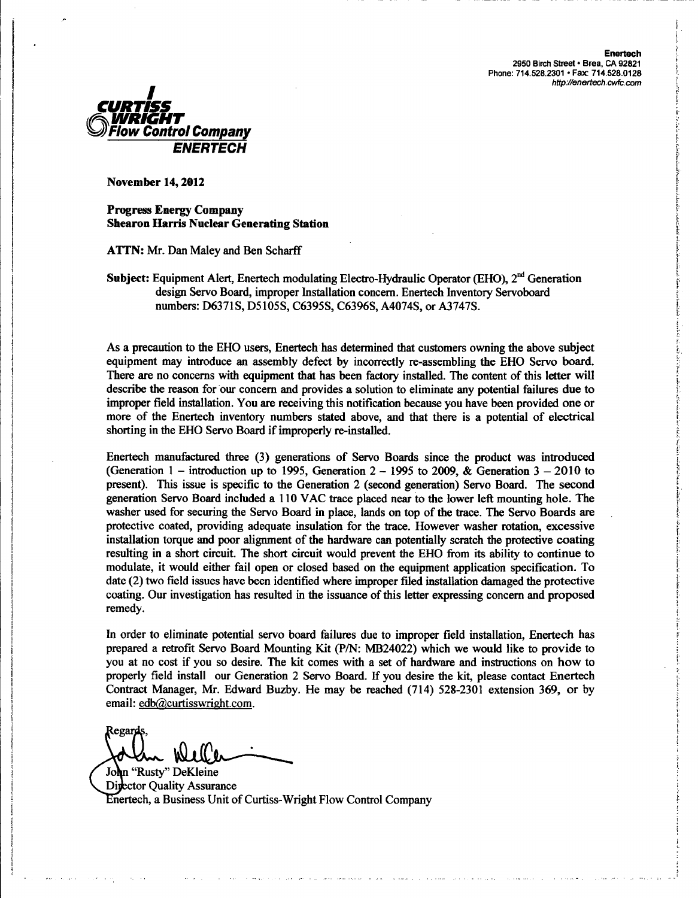

Progress Energy Company Shearon Harris Nuclear Generating Station

ATTN: Mr. Dan Maley and Ben Scharff

Subject: Equipment Alert, Enertech modulating Electro-Hydraulic Operator (EHO),  $2<sup>nd</sup>$  Generation design Servo Board, improper Installation concern. Enertech Inventory Servoboard numbers: D6371S, D5105S, C6395S, C6396S, A4074S, or A3747S.

As a precaution to the EHO users, Enertech has determined that customers owning the above subject equipment may introduce an assembly defect by incorrectly re-assembling the EHO Servo board. There are no concerns with equipment that has been factory installed. The content of this letter will describe the reason for our concern and provides a solution to eliminate any potential failures due to improper field installation. You are receiving this notification because you have been provided one or more of the Enertech inventory numbers stated above, and that there is a potential of electrical shorting in the EHO Servo Board if improperly re-installed.

Enertech manufactured three (3) generations of Servo Boards since the product was introduced (Generation 1 – introduction up to 1995, Generation  $2 - 1995$  to 2009, & Generation  $3 - 2010$  to present). This issue is specific to the Generation 2 (second generation) Servo Board. The second generation Servo Board included a 110 VAC trace placed near to the lower left mounting hole. The washer used for securing the Servo Board in place, lands on top of the trace. The Servo Boards are protective coated, providing adequate insulation for the trace. However washer rotation, excessive installation torque and poor alignment of the hardware can potentially scratch the protective coating resulting in a short circuit. The short circuit would prevent the EHO from its ability to continue to modulate, it would either fail open or closed based on the equipment application specification. To date (2) two field issues have been identified where improper filed installation damaged the protective coating. Our investigation has resulted in the issuance of this letter expressing concern and proposed remedy.

In order to eliminate potential servo board failures due to improper field installation, Enertech has prepared a retrofit Servo Board Mounting Kit (P/N: MB24022) which we would like to provide to you at no cost if you so desire. The kit comes with a set of hardware and instructions on how to properly field install our Generation 2 Servo Board. If you desire the kit, please contact Enertech Contract Manager, Mr. Edward Buzby. He may be reached (714) 528-2301 extension 369, or by email: edb@curtisswright.com.

**Regard** W1

<sup>I</sup> John "Rusty" DeKleine Director Quality Assurance Enertech, a Business Unit of Curtiss-Wright Flow Control Company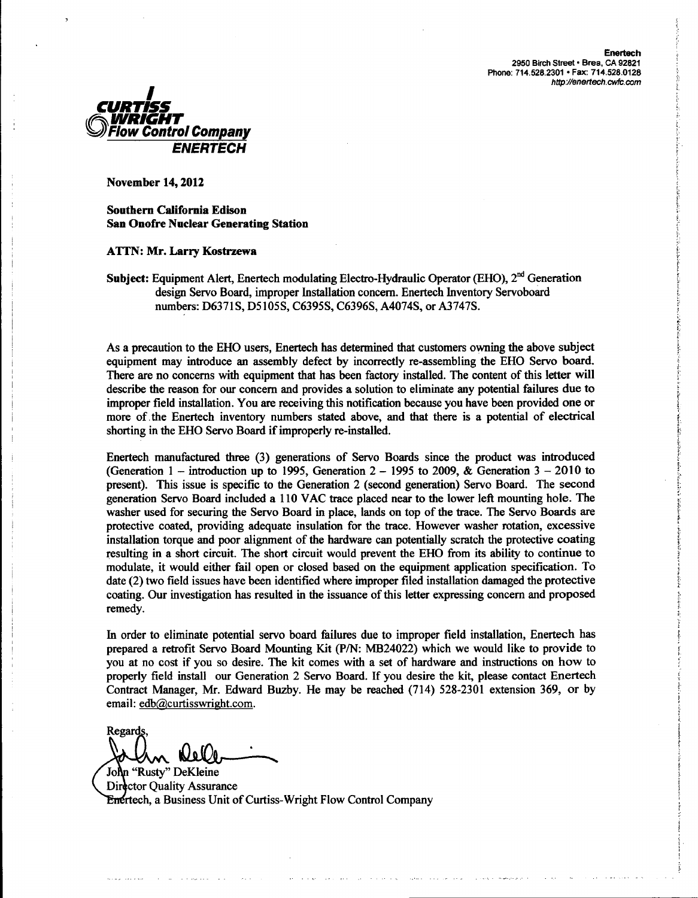

Southern California Edison San Onofre Nuclear Generating Station

### ATTN: Mr. Larry Kostrzewa

**Subject:** Equipment Alert, Enertech modulating Electro-Hydraulic Operator (EHO),  $2<sup>nd</sup>$  Generation design Servo Board, improper Installation concern. Enertech Inventory Servoboard numbers: D6371S, D5105S, C6395S, C6396S, A4074S, or A3747S.

As a precaution to the EHO users, Enertech has determined that customers owning the above subject equipment may introduce an assembly defect by incorrectly re-assembling the EHO Servo board. There are no concerns with equipment that has been factory installed. The content of this letter will describe the reason for our concern and provides a solution to eliminate any potential failures due to improper field installation. You are receiving this notification because you have been provided one or more of. the Enertech inventory numbers stated above, and that there is a potential of electrical shorting in the EHO Servo Board if improperly re-installed.

Enertech manufactured three (3) generations of Servo Boards since the product was introduced (Generation 1 – introduction up to 1995, Generation  $2 - 1995$  to 2009, & Generation  $3 - 2010$  to present). This issue is specific to the Generation 2 (second generation) Servo Board. The second generation Servo Board included a 110 VAC trace placed near to the lower left mounting hole. The washer used for securing the Servo Board in place, lands on top of the trace. The Servo Boards are protective coated, providing adequate insulation for the trace. However washer rotation, excessive installation torque and poor alignment of the hardware can potentially scratch the protective coating resulting in a short circuit. The short circuit would prevent the EHO from its ability to continue to modulate, it would either fail open or closed based on the equipment application specification. To date (2) two field issues have been identified where improper filed installation damaged the protective coating. Our investigation has resulted in the issuance of this letter expressing concern and proposed remedy.

In order to eliminate potential servo board failures due to improper field installation, Enertech has prepared a retrofit Servo Board Mounting Kit (P/N: MB24022) which we would like to provide to you at no cost if you so desire. The kit comes with a set of hardware and instructions on how to properly field install our Generation 2 Servo Board. If you desire the kit, please contact Enertech Contract Manager, Mr. Edward Buzby. He may be reached (714) 528-2301 extension 369, or by email: edb@curtisswright.com

Regards **KLel** 

John "Rusty" DeKleine Director Quality Assurance **Enertech, a Business Unit of Curtiss-Wright Flow Control Company**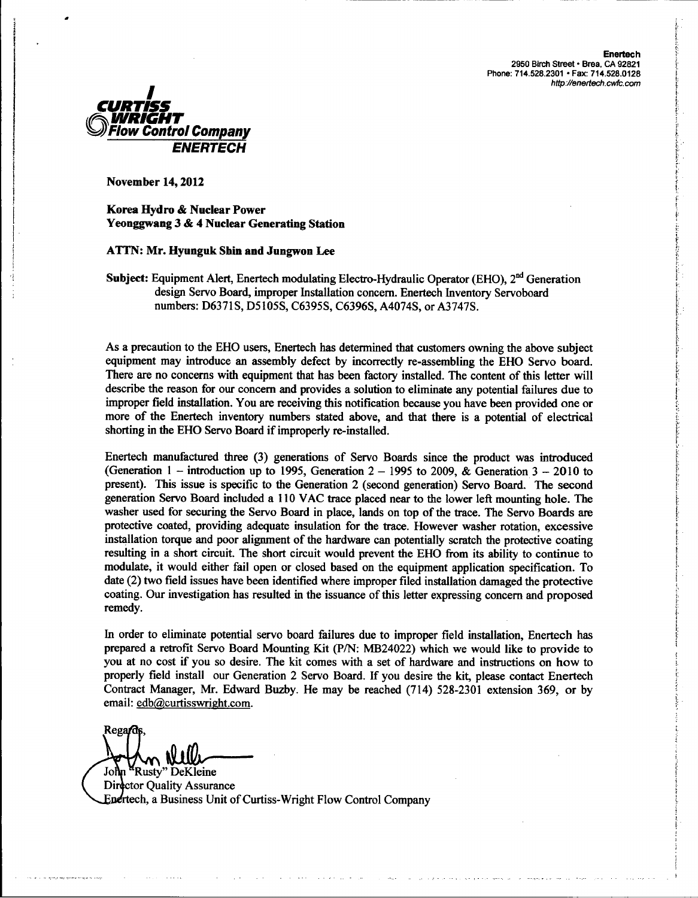

Korea Hydro & Nuclear Power Yeonggwang 3 & 4 Nuclear Generating Station

# ATTN: Mr. Hyunguk Shin and Jungwon Lee

Subject: Equipment Alert, Enertech modulating Electro-Hydraulic Operator (EHO), 2<sup>nd</sup> Generation design Servo Board, improper Installation concern. Enertech Inventory Servoboard numbers: D6371S, D5105S, C6395S, C6396S, A4074S, or A3747S.

As a precaution to the EHO users, Enertech has determined that customers owning the above subject equipment may introduce an assembly defect by incorrectly re-assembling the EHO Servo board. There are no concerns with equipment that has been factory installed. The content of this letter will describe the reason for our concern and provides a solution to eliminate any potential failures due to improper field installation. You are receiving this notification because you have been provided one or more of the Enertech inventory numbers stated above, and that there is a potential of electrical shorting in the EHO Servo Board if improperly re-installed.

Enertech manufactured three (3) generations of Servo Boards since the product was introduced (Generation 1 – introduction up to 1995, Generation  $2 - 1995$  to 2009, & Generation  $3 - 2010$  to present). This issue is specific to the Generation 2 (second generation) Servo Board. The second generation Servo Board included a **I** 10 VAC trace placed near to the lower left mounting hole. The washer used for securing the Servo Board in place, lands on top of the trace. The Servo Boards are protective coated, providing adequate insulation for the trace. However washer rotation, excessive installation torque and poor alignment of the hardware can potentially scratch the protective coating resulting in a short circuit. The short circuit would prevent the EHO from its ability to continue to modulate, it would either fail open or closed based on the equipment application specification. To date (2) two field issues have been identified where improper filed installation damaged the protective coating. Our investigation has resulted in the issuance of this letter expressing concern and proposed remedy.

In order to eliminate potential servo board failures due to improper field installation, Enertech has prepared a retrofit Servo Board Mounting Kit (P/N: MB24022) which we would like to provide to you at no cost if you so desire. The kit comes with a set of hardware and instructions on how to properly field install our Generation 2 Servo Board. If you desire the kit, please contact Enertech Contract Manager, Mr. Edward Buzby. He may be reached (714) 528-2301 extension 369, or by email: edb@curtisswright.com.

Regard

Director Quality Assurance John <sup>M</sup>Rusty" DeKleine Enertech, a Business Unit of Curtiss-Wright Flow Control Company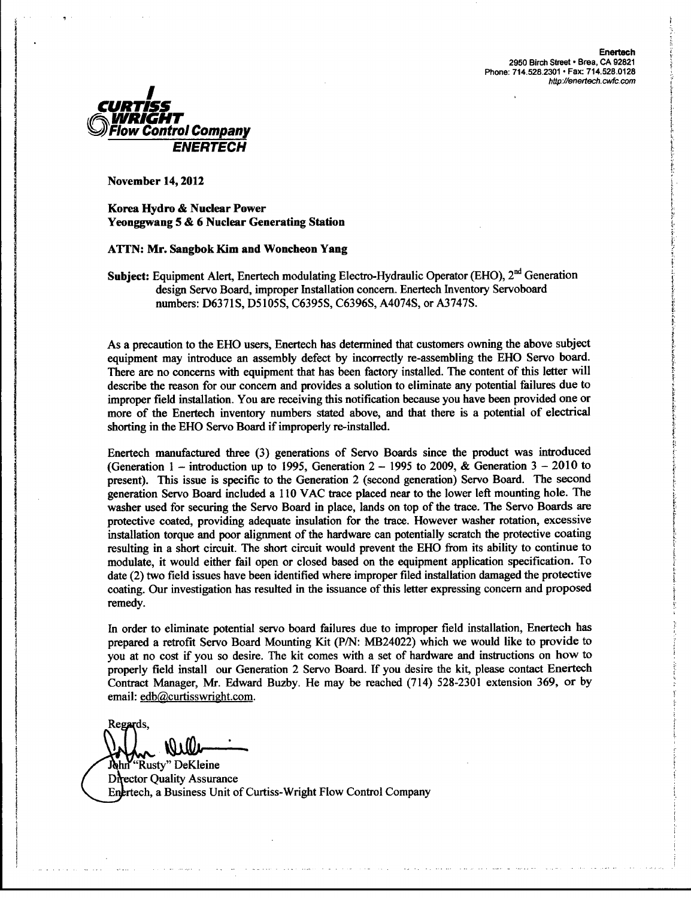Enertech 2950 Birch Street • Brea, CA 92821 Phone: 714.528.2301 • Fax: 714.528.0128



November 14,2012

Korea Hydro & Nuclear Power Yeonggwang 5 & 6 Nuclear Generating Station

### ATTN: Mr. Sangbok Kim and Woncheon Yang

Subject: Equipment Alert, Enertech modulating Electro-Hydraulic Operator (EHO),  $2<sup>nd</sup>$  Generation design Servo Board, improper Installation concern. Enertech Inventory Servoboard numbers: D6371S, D5105S, C6395S, C6396S, A4074S, or A3747S.

As a precaution to the EHO users, Enertech has determined that customers owning the above subject equipment may introduce an assembly defect by incorrectly re-assembling the EHO Servo board. There are no concerns with equipment that has been factory installed. The content of this letter will describe the reason for our concern and provides a solution to eliminate any potential failures due to improper field installation. You are receiving this notification because you have been provided one or more of the Enertech inventory numbers stated above, and that there is a potential of electrical shorting in the EHO Servo Board if improperly re-installed.

Enertech manufactured three (3) generations of Servo Boards since the product was introduced (Generation  $1 -$  introduction up to 1995, Generation  $2 - 1995$  to 2009, & Generation  $3 - 2010$  to present). This issue is specific to the Generation 2 (second generation) Servo Board. The second generation Servo Board included a 110 VAC trace placed near to the lower left mounting hole. The washer used for securing the Servo Board in place, lands on top of the trace. The Servo Boards are protective coated, providing adequate insulation for the trace. However washer rotation, excessive installation torque and poor alignment of the hardware can potentially scratch the protective coating resulting in a short circuit. The short circuit would prevent the EHO from its ability to continue to modulate, it would either fail open or closed based on the equipment application specification. To date (2) two field issues have been identified where improper filed installation damaged the protective coating. Our investigation has resulted in the issuance of this letter expressing concern and proposed remedy.

In order to eliminate potential servo board failures due to improper field installation, Enertech has prepared a retrofit Servo Board Mounting Kit (P/N: MB24022) which we would like to provide to you at no cost if you so desire. The kit comes with a set of hardware and instructions on how to properly field install our Generation 2 Servo Board. If you desire the kit, please contact Enertech Contract Manager, Mr. Edward Buzby. He may be reached (714) 528-2301 extension 369, or by email: edb@curtisswright.com.

Regards,

"Rusty" DeKleine John **Director Quality Assurance** Enertech, a Business Unit of Curtiss-Wright Flow Control Company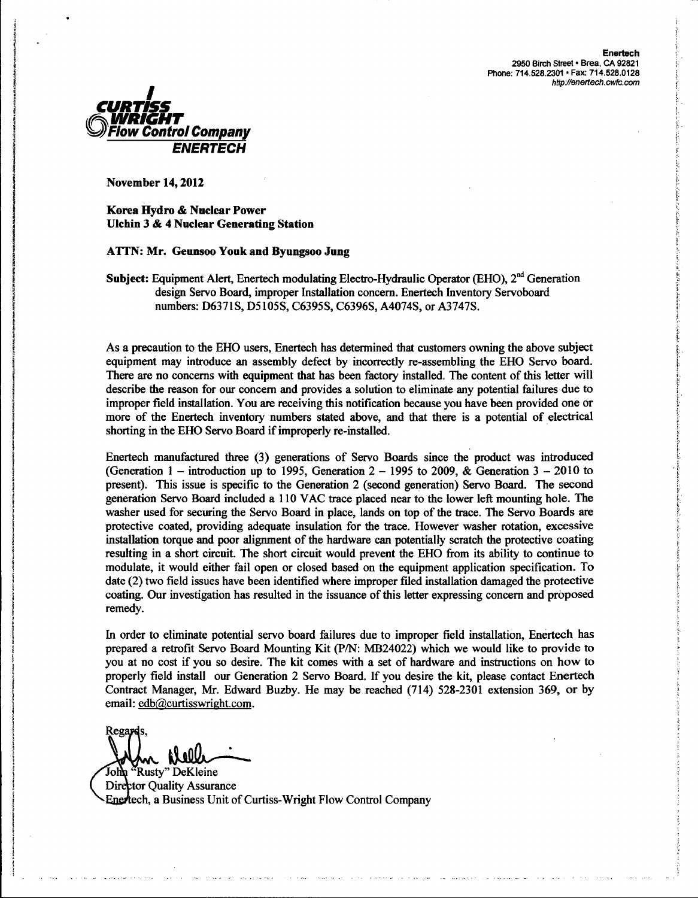

Korea Hydro **&** Nuclear Power Ulchin **3 &** 4 Nuclear Generating Station

**ATTN:** Mr. Geunsoo Youk and Byungsoo Jung

**Subject:** Equipment Alert, Enertech modulating Electro-Hydraulic Operator (EHO),  $2<sup>nd</sup>$  Generation design Servo Board, improper Installation concern. Enertech Inventory Servoboard numbers: D6371S, D5105S, C6395S, C6396S, A4074S, or A3747S.

As a precaution to the EHO users, Enertech has determined that customers owning the above subject equipment may introduce an assembly defect by incorrectly re-assembling the EHO Servo board. There are no concerns with equipment that has been factory installed. The content of this letter will describe the reason for our concern and provides a solution to eliminate any potential failures due to improper field installation. You are receiving this notification because you have been provided one or more of the Enertech inventory numbers stated above, and that there is a potential of electrical shorting in the EHO Servo Board if improperly re-installed.

Enertech manufactured three (3) generations of Servo Boards since the product was introduced (Generation 1 – introduction up to 1995, Generation  $2 - 1995$  to 2009, & Generation  $3 - 2010$  to present). This issue is specific to the Generation 2 (second generation) Servo Board. The second generation Servo Board included a 110 VAC trace placed near to the lower left mounting hole. The washer used for securing the Servo Board in place, lands on top of the trace. The Servo Boards are protective coated, providing adequate insulation for the trace. However washer rotation, excessive installation torque and poor alignment of the hardware can potentially scratch the protective coating resulting in a short circuit. The short circuit would prevent the EHO from its ability to continue to modulate, it would either fail open or closed based on the equipment application specification. To date (2) two field issues have been identified where improper filed installation damaged the protective coating. Our investigation has resulted in the issuance of this letter expressing concern and proposed remedy.

In order to eliminate potential servo board failures due to improper field installation, Enertech has prepared a retrofit Servo Board Mounting Kit (P/N: MB24022) which we would like to provide to you at no cost if you so desire. The kit comes with a set of hardware and instructions on how to properly field install our Generation 2 Servo Board. If you desire the kit, please contact Enertech Contract Manager, Mr. Edward Buzby. He may be reached (714) 528-2301 extension 369, or by email: edb@curtisswright.com.

Regards, **AXAOL** 

'Rusty" DeKleine John Director Quality Assurance Enertech, a Business Unit of Curtiss-Wright Flow Control Company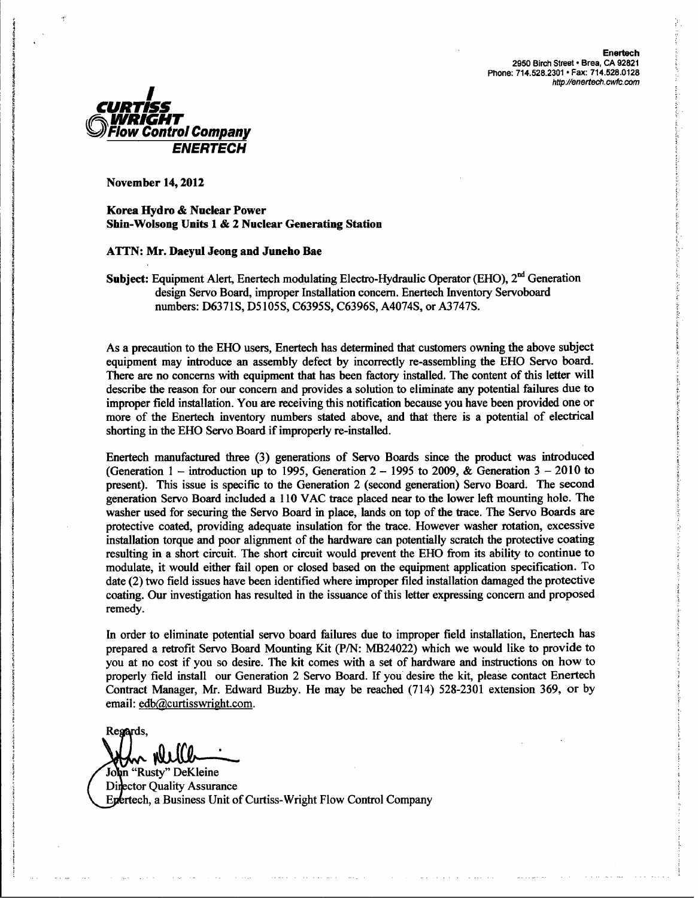

Korea Hydro **&** Nuclear Power Shin-Wolsong Units **1 &** 2 Nuclear Generating Station

### **ATTN:** Mr. Daeyul Jeong and Juneho Bae

Subject: Equipment Alert, Enertech modulating Electro-Hydraulic Operator (EHO), 2<sup>nd</sup> Generation design Servo Board, improper Installation concern. Enertech Inventory Servoboard numbers: D6371S, D5105S, C6395S, C6396S, A4074S, or A3747S.

As a precaution to the EHO users, Enertech has determined that customers owning the above subject equipment may introduce an assembly defect by incorrectly re-assembling the EHO Servo board. There are no concerns with equipment that has been factory installed. The content of this letter will describe the reason for our concern and provides a solution to eliminate any potential failures due to improper field installation. You are receiving this notification because you have been provided one or more of the Enertech inventory numbers stated above, and that there is a potential of electrical shorting in the EHO Servo Board if improperly re-installed.

Enertech manufactured three (3) generations of Servo Boards since the product was introduced (Generation 1 – introduction up to 1995, Generation 2 – 1995 to 2009, & Generation  $3 - 2010$  to present). This issue is specific to the Generation 2 (second generation) Servo Board. The second generation Servo Board included a 110 VAC trace placed near to the lower left mounting hole. The washer used for securing the Servo Board in place, lands on top of the trace. The Servo Boards are protective coated, providing adequate insulation for the trace. However washer rotation, excessive installation torque and poor alignment of the hardware can potentially scratch the protective coating resulting in a short circuit. The short circuit would prevent the EHO from its ability to continue to modulate, it would either fail open or closed based on the equipment application specification. To date (2) two field issues have been identified where improper filed installation damaged the protective coating. Our investigation has resulted in the issuance of this letter expressing concern and proposed remedy.

In order to eliminate potential servo board failures due to improper field installation, Enertech has prepared a retrofit Servo Board Mounting Kit (P/N: MB24022) which we would like to provide to you at no cost if you so desire. The kit comes with a set of hardware and instructions on how to properly field install our Generation 2 Servo Board. If you desire the kit, please contact Enertech Contract Manager, Mr. Edward Buzby. He may be reached (714) 528-2301 extension 369, or by email: edb@curtisswright.com.

Regards,

John "Rusty" DeKleine Director Quality Assurance Epertech, a Business Unit of Curtiss-Wright Flow Control Company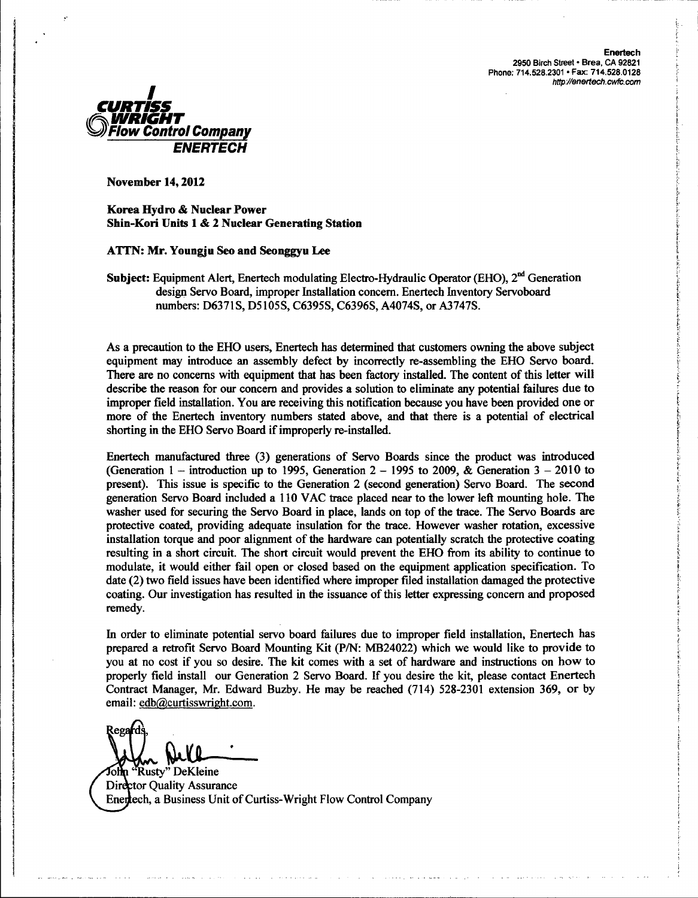

Korea Hydro & Nuclear Power Shin-Kori Units 1 & 2 Nuclear Generating Station

# **ATTN:** Mr. Youngju Seo and Seonggyu Lee

Subject: Equipment Alert, Enertech modulating Electro-Hydraulic Operator (EHO), 2<sup>nd</sup> Generation design Servo Board, improper Installation concern. Enertech Inventory Servoboard numbers: D6371S, D5105S, C6395S, C6396S, A4074S, or A3747S.

As a precaution to the EHO users, Enertech has determined that customers owning the above subject equipment may introduce an assembly defect by incorrectly re-assembling the EHO Servo board. There are no concerns with equipment that has been factory installed. The content of this letter will describe the reason for our concern and provides a solution to eliminate any potential failures due to improper field installation. You are receiving this notification because you have been provided one or more of the Enertech inventory numbers stated above, and that there is a potential of electrical shorting in the EHO Servo Board if improperly re-installed.

Enertech manufactured three (3) generations of Servo Boards since the product was introduced (Generation 1 – introduction up to 1995, Generation  $2 - 1995$  to 2009, & Generation  $3 - 2010$  to present). This issue is specific to the Generation 2 (second generation) Servo Board. The second generation Servo Board included a 110 VAC trace placed near to the lower left mounting hole. The washer used for securing the Servo Board in place, lands on top of the trace. The Servo Boards are protective coated, providing adequate insulation for the trace. However washer rotation, excessive installation torque and poor alignment of the hardware can potentially scratch the protective coating resulting in a short circuit. The short circuit would prevent the EHO from its ability to continue to modulate, it would either fail open or closed based on the equipment application specification. To date (2) two field issues have been identified where improper filed installation damaged the protective coating. Our investigation has resulted in the issuance of this letter expressing concern and proposed remedy.

In order to eliminate potential servo board failures due to improper field installation, Enertech has prepared a retrofit Servo Board Mounting Kit (P/N: MB24022) which we would like to provide to you at no cost if you so desire. The kit comes with a set of hardware and instructions on how to properly field install our Generation 2 Servo Board. If you desire the kit, please contact Enertech Contract Manager, Mr. Edward Buzby. He may be reached (714) 528-2301 extension 369, or by email: edb@curtisswright.com.

**Rega Yn Dell-**

Rusty" DeKleine Tolln. Director Quality Assurance Enertech, a Business Unit of Curtiss-Wright Flow Control Company